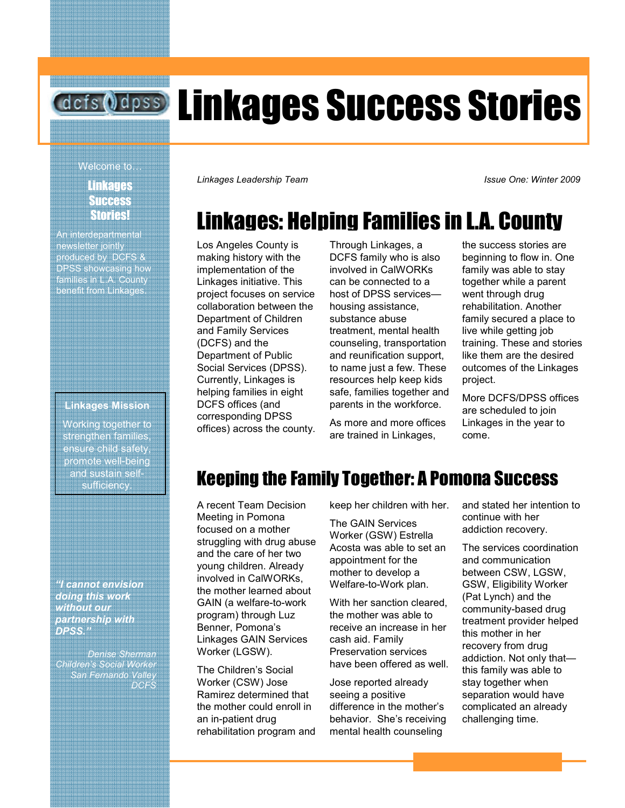# **defs Odpss** Linkages Success Stories

#### **Linkages** Success Stories!

An interdepartmental newsletter jointly produced by DCFS & DPSS showcasing how families in L.A. County benefit from Linkages.

#### Linkages Mission

Working together to strengthen families, ensure child safety, promote well-being and sustain selfsufficiency.

"I cannot envision doing this work without our partnership with DPSS."

Denise Sherman Children's Social Worker San Fernando Valley **DCFS** 

welcome to…<br>Welcome to… Store Store<br>Store Store Store Store Store Store Store Store Store Store Store Store Store Store Store Store Store Store S Linkages Leadership Team **Issue One: Winter 2009** Issue One: Winter 2009

## Linkages: Helping Families in L.A. County

Los Angeles County is making history with the implementation of the Linkages initiative. This project focuses on service collaboration between the Department of Children and Family Services (DCFS) and the Department of Public Social Services (DPSS). Currently, Linkages is helping families in eight DCFS offices (and corresponding DPSS offices) across the county. Through Linkages, a DCFS family who is also involved in CalWORKs can be connected to a host of DPSS services housing assistance, substance abuse treatment, mental health counseling, transportation and reunification support, to name just a few. These resources help keep kids safe, families together and parents in the workforce.

As more and more offices are trained in Linkages,

the success stories are beginning to flow in. One family was able to stay together while a parent went through drug rehabilitation. Another family secured a place to live while getting job training. These and stories like them are the desired outcomes of the Linkages project.

More DCFS/DPSS offices are scheduled to join Linkages in the year to come.

### Keeping the Family Together: A Pomona Success

A recent Team Decision Meeting in Pomona focused on a mother struggling with drug abuse and the care of her two young children. Already involved in CalWORKs, the mother learned about GAIN (a welfare-to-work program) through Luz Benner, Pomona's Linkages GAIN Services Worker (LGSW).

The Children's Social Worker (CSW) Jose Ramirez determined that the mother could enroll in an in-patient drug rehabilitation program and keep her children with her.

The GAIN Services Worker (GSW) Estrella Acosta was able to set an appointment for the mother to develop a Welfare-to-Work plan.

With her sanction cleared. the mother was able to receive an increase in her cash aid. Family Preservation services have been offered as well.

Jose reported already seeing a positive difference in the mother's behavior. She's receiving mental health counseling

and stated her intention to continue with her addiction recovery.

The services coordination and communication between CSW, LGSW, GSW, Eligibility Worker (Pat Lynch) and the community-based drug treatment provider helped this mother in her recovery from drug addiction. Not only that this family was able to stay together when separation would have complicated an already challenging time.